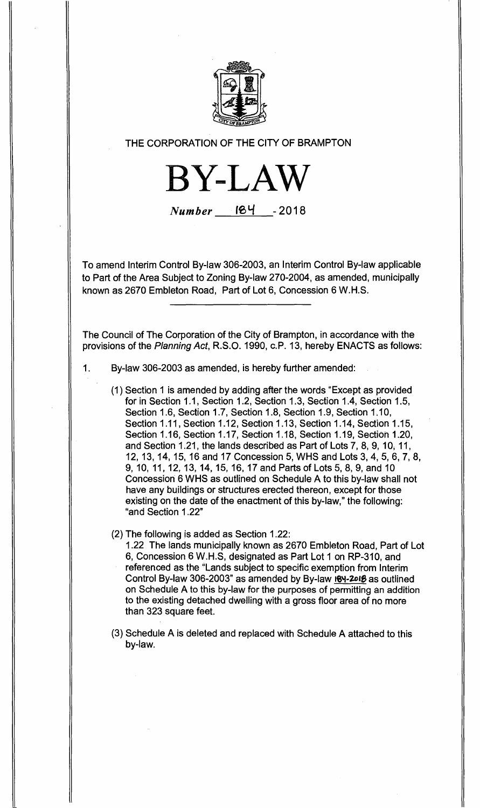

## **THE CORPORATION OF THE CITY OF BRAMPTON**

**BYLAW** 

 $Number$  **124** - 2018

**To amend Interim Control By-law 306-2003, an Interim Control By-law applicable to Part of the Area Subject to Zoning By-law 270-2004, as amended, municipally known as 2670 Embleton Road, Part of Lot 6, Concession 6 W.H.S.** 

**The Council of The Corporation of the City of Brampton, in accordance with the provisions of the** Planning Act, **R.S.O. 1990, c.P. 13, hereby ENACTS as follows:** 

- **1. By-law 306-2003 as amended, is hereby further amended:** 
	- **(1) Section 1 is amended by adding after the words "Except as provided for in Section 1.1, Section 1.2, Section 1.3, Section 1.4, Section 1.5, Section 1.6, Section 1.7, Section 1.8, Section 1.9, Section 1.10, Section 1.11, Section 1.12, Section 1.13, Section 1.14, Section 1.15, Section 1.16, Section 1.17, Section 1.18, Section 1.19, Section 1.20, and Section 1.21, the lands described as Part of Lots 7, 8, 9, 10, 11, 12, 13, 14, 15, 16 and 17 Concession 5, WHS and Lots 3, 4, 5, 6, 7, 8, 9, 10, 11, 12, 13, 14, 15, 16, 17 and Parts of Lots 5, 8, 9, and 10 Concession 6 WHS as outlined on Schedule A to this by-law shall not have any buildings or structures erected thereon, except for those existing on the date of the enactment of this by-law," the following: "and Section 1.22"**
	- **(2) The following is added as Section 1.22:**

**1.22 The lands municipally known as 2670 Embleton Road, Part of Lot 6, Concession 6 W.H.S, designated as Part Lot 1 on RP-310, and referenced as the "Lands subject to specific exemption from Interim Control By-law 306-2003" as amended by By-law 01-2018 as outlined on Schedule A to this by-law for the purposes of permitting an addition to the existing detached dwelling with a gross floor area of no more than 323 square feet.** 

**(3) Schedule A is deleted and replaced with Schedule A attached to this by-law.**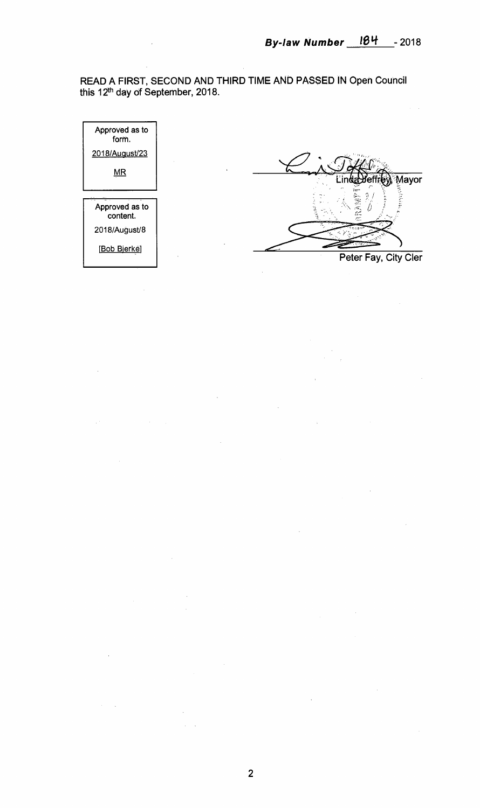**READ A FIRST, SECOND AND THIRD TIME AND PASSED IN Open Council this 1**2th **day of September, 2018.** 



 $\bar{z}$